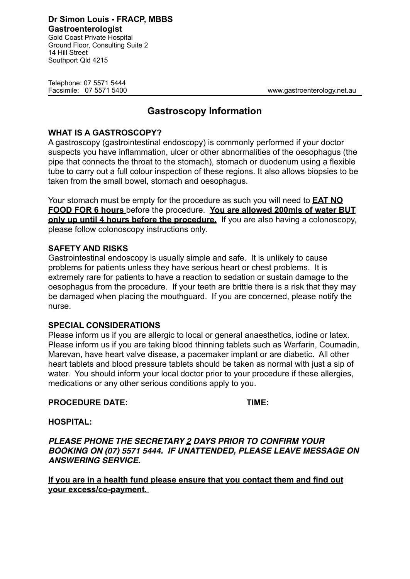Telephone: 07 5571 5444

14 Hill Street Southport Qld 4215

Facsimile: 07 5571 5400 www.gastroenterology.net.au

# **Gastroscopy Information**

## **WHAT IS A GASTROSCOPY?**

A gastroscopy (gastrointestinal endoscopy) is commonly performed if your doctor suspects you have inflammation, ulcer or other abnormalities of the oesophagus (the pipe that connects the throat to the stomach), stomach or duodenum using a flexible tube to carry out a full colour inspection of these regions. It also allows biopsies to be taken from the small bowel, stomach and oesophagus.

Your stomach must be empty for the procedure as such you will need to **EAT NO FOOD FOR 6 hours** before the procedure. **You are allowed 200mls of water BUT only up until 4 hours before the procedure.** If you are also having a colonoscopy, please follow colonoscopy instructions only.

## **SAFETY AND RISKS**

Gastrointestinal endoscopy is usually simple and safe. It is unlikely to cause problems for patients unless they have serious heart or chest problems. It is extremely rare for patients to have a reaction to sedation or sustain damage to the oesophagus from the procedure. If your teeth are brittle there is a risk that they may be damaged when placing the mouthguard. If you are concerned, please notify the nurse.

### **SPECIAL CONSIDERATIONS**

Please inform us if you are allergic to local or general anaesthetics, iodine or latex. Please inform us if you are taking blood thinning tablets such as Warfarin, Coumadin, Marevan, have heart valve disease, a pacemaker implant or are diabetic. All other heart tablets and blood pressure tablets should be taken as normal with just a sip of water. You should inform your local doctor prior to your procedure if these allergies, medications or any other serious conditions apply to you.

### PROCEDURE DATE: TIME:

**HOSPITAL:** 

*PLEASE PHONE THE SECRETARY 2 DAYS PRIOR TO CONFIRM YOUR BOOKING ON (07) 5571 5444. IF UNATTENDED, PLEASE LEAVE MESSAGE ON ANSWERING SERVICE.* 

**If you are in a health fund please ensure that you contact them and find out your excess/co-payment.**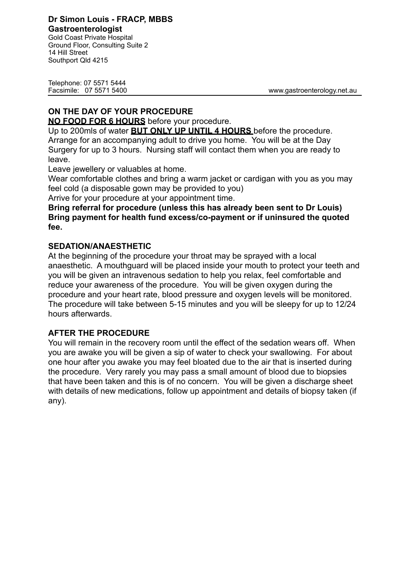Gold Coast Private Hospital Ground Floor, Consulting Suite 2 14 Hill Street Southport Qld 4215

Telephone: 07 5571 5444

Facsimile: 07 5571 5400 www.gastroenterology.net.au

# **ON THE DAY OF YOUR PROCEDURE**

**NO FOOD FOR 6 HOURS** before your procedure.

Up to 200mls of water **BUT ONLY UP UNTIL 4 HOURS** before the procedure. Arrange for an accompanying adult to drive you home. You will be at the Day Surgery for up to 3 hours. Nursing staff will contact them when you are ready to leave.

Leave jewellery or valuables at home.

Wear comfortable clothes and bring a warm jacket or cardigan with you as you may feel cold (a disposable gown may be provided to you)

Arrive for your procedure at your appointment time.

### **Bring referral for procedure (unless this has already been sent to Dr Louis) Bring payment for health fund excess/co-payment or if uninsured the quoted fee.**

## **SEDATION/ANAESTHETIC**

At the beginning of the procedure your throat may be sprayed with a local anaesthetic. A mouthguard will be placed inside your mouth to protect your teeth and you will be given an intravenous sedation to help you relax, feel comfortable and reduce your awareness of the procedure. You will be given oxygen during the procedure and your heart rate, blood pressure and oxygen levels will be monitored. The procedure will take between 5-15 minutes and you will be sleepy for up to 12/24 hours afterwards.

# **AFTER THE PROCEDURE**

You will remain in the recovery room until the effect of the sedation wears off. When you are awake you will be given a sip of water to check your swallowing. For about one hour after you awake you may feel bloated due to the air that is inserted during the procedure. Very rarely you may pass a small amount of blood due to biopsies that have been taken and this is of no concern. You will be given a discharge sheet with details of new medications, follow up appointment and details of biopsy taken (if any).